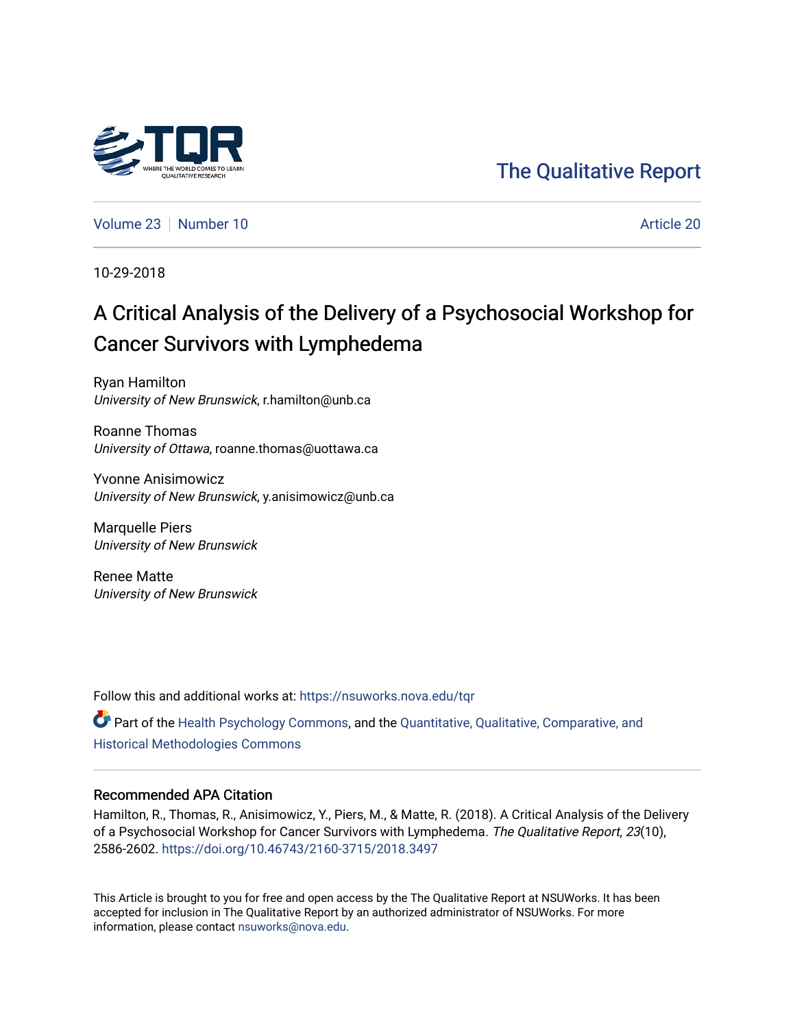

## [The Qualitative Report](https://nsuworks.nova.edu/tqr)

[Volume 23](https://nsuworks.nova.edu/tqr/vol23) [Number 10](https://nsuworks.nova.edu/tqr/vol23/iss10) **Article 20** Article 20

10-29-2018

# A Critical Analysis of the Delivery of a Psychosocial Workshop for Cancer Survivors with Lymphedema

Ryan Hamilton University of New Brunswick, r.hamilton@unb.ca

Roanne Thomas University of Ottawa, roanne.thomas@uottawa.ca

Yvonne Anisimowicz University of New Brunswick, y.anisimowicz@unb.ca

Marquelle Piers University of New Brunswick

Renee Matte University of New Brunswick

Follow this and additional works at: [https://nsuworks.nova.edu/tqr](https://nsuworks.nova.edu/tqr?utm_source=nsuworks.nova.edu%2Ftqr%2Fvol23%2Fiss10%2F20&utm_medium=PDF&utm_campaign=PDFCoverPages) 

Part of the [Health Psychology Commons](http://network.bepress.com/hgg/discipline/411?utm_source=nsuworks.nova.edu%2Ftqr%2Fvol23%2Fiss10%2F20&utm_medium=PDF&utm_campaign=PDFCoverPages), and the [Quantitative, Qualitative, Comparative, and](http://network.bepress.com/hgg/discipline/423?utm_source=nsuworks.nova.edu%2Ftqr%2Fvol23%2Fiss10%2F20&utm_medium=PDF&utm_campaign=PDFCoverPages) [Historical Methodologies Commons](http://network.bepress.com/hgg/discipline/423?utm_source=nsuworks.nova.edu%2Ftqr%2Fvol23%2Fiss10%2F20&utm_medium=PDF&utm_campaign=PDFCoverPages) 

#### Recommended APA Citation

Hamilton, R., Thomas, R., Anisimowicz, Y., Piers, M., & Matte, R. (2018). A Critical Analysis of the Delivery of a Psychosocial Workshop for Cancer Survivors with Lymphedema. The Qualitative Report, 23(10), 2586-2602. <https://doi.org/10.46743/2160-3715/2018.3497>

This Article is brought to you for free and open access by the The Qualitative Report at NSUWorks. It has been accepted for inclusion in The Qualitative Report by an authorized administrator of NSUWorks. For more information, please contact [nsuworks@nova.edu.](mailto:nsuworks@nova.edu)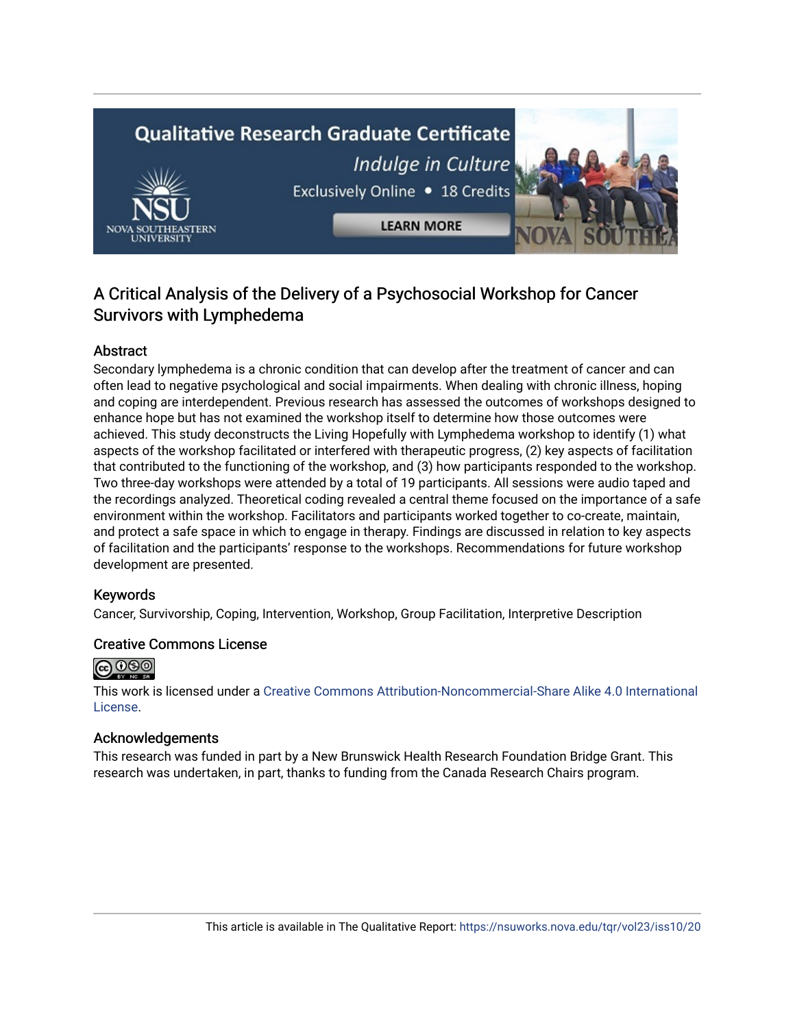# **Qualitative Research Graduate Certificate** Indulge in Culture Exclusively Online . 18 Credits **LEARN MORE**

### A Critical Analysis of the Delivery of a Psychosocial Workshop for Cancer Survivors with Lymphedema

#### Abstract

Secondary lymphedema is a chronic condition that can develop after the treatment of cancer and can often lead to negative psychological and social impairments. When dealing with chronic illness, hoping and coping are interdependent. Previous research has assessed the outcomes of workshops designed to enhance hope but has not examined the workshop itself to determine how those outcomes were achieved. This study deconstructs the Living Hopefully with Lymphedema workshop to identify (1) what aspects of the workshop facilitated or interfered with therapeutic progress, (2) key aspects of facilitation that contributed to the functioning of the workshop, and (3) how participants responded to the workshop. Two three-day workshops were attended by a total of 19 participants. All sessions were audio taped and the recordings analyzed. Theoretical coding revealed a central theme focused on the importance of a safe environment within the workshop. Facilitators and participants worked together to co-create, maintain, and protect a safe space in which to engage in therapy. Findings are discussed in relation to key aspects of facilitation and the participants' response to the workshops. Recommendations for future workshop development are presented.

#### Keywords

Cancer, Survivorship, Coping, Intervention, Workshop, Group Facilitation, Interpretive Description

#### Creative Commons License



This work is licensed under a [Creative Commons Attribution-Noncommercial-Share Alike 4.0 International](https://creativecommons.org/licenses/by-nc-sa/4.0/)  [License](https://creativecommons.org/licenses/by-nc-sa/4.0/).

#### Acknowledgements

This research was funded in part by a New Brunswick Health Research Foundation Bridge Grant. This research was undertaken, in part, thanks to funding from the Canada Research Chairs program.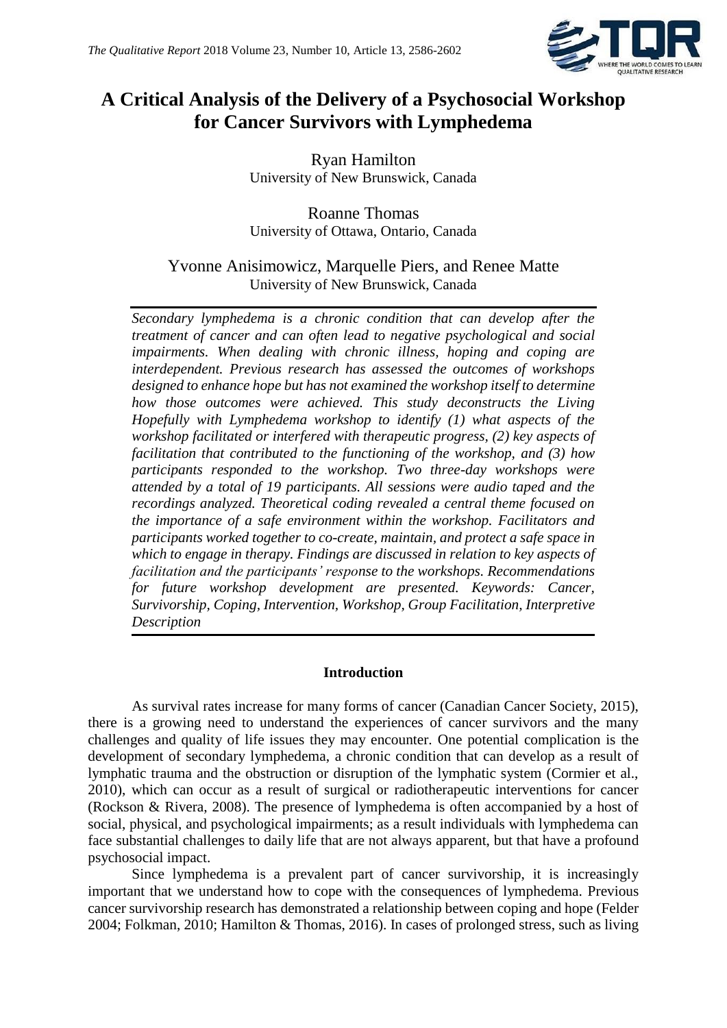

## **A Critical Analysis of the Delivery of a Psychosocial Workshop for Cancer Survivors with Lymphedema**

Ryan Hamilton University of New Brunswick, Canada

Roanne Thomas University of Ottawa, Ontario, Canada

Yvonne Anisimowicz, Marquelle Piers, and Renee Matte University of New Brunswick, Canada

*Secondary lymphedema is a chronic condition that can develop after the treatment of cancer and can often lead to negative psychological and social impairments. When dealing with chronic illness, hoping and coping are interdependent. Previous research has assessed the outcomes of workshops designed to enhance hope but has not examined the workshop itself to determine how those outcomes were achieved. This study deconstructs the Living Hopefully with Lymphedema workshop to identify (1) what aspects of the workshop facilitated or interfered with therapeutic progress, (2) key aspects of facilitation that contributed to the functioning of the workshop, and (3) how participants responded to the workshop. Two three-day workshops were attended by a total of 19 participants. All sessions were audio taped and the recordings analyzed. Theoretical coding revealed a central theme focused on the importance of a safe environment within the workshop. Facilitators and participants worked together to co-create, maintain, and protect a safe space in which to engage in therapy. Findings are discussed in relation to key aspects of facilitation and the participants' response to the workshops. Recommendations for future workshop development are presented. Keywords: Cancer, Survivorship, Coping, Intervention, Workshop, Group Facilitation, Interpretive Description*

#### **Introduction**

As survival rates increase for many forms of cancer (Canadian Cancer Society, 2015), there is a growing need to understand the experiences of cancer survivors and the many challenges and quality of life issues they may encounter. One potential complication is the development of secondary lymphedema, a chronic condition that can develop as a result of lymphatic trauma and the obstruction or disruption of the lymphatic system (Cormier et al., 2010), which can occur as a result of surgical or radiotherapeutic interventions for cancer (Rockson & Rivera, 2008). The presence of lymphedema is often accompanied by a host of social, physical, and psychological impairments; as a result individuals with lymphedema can face substantial challenges to daily life that are not always apparent, but that have a profound psychosocial impact.

Since lymphedema is a prevalent part of cancer survivorship, it is increasingly important that we understand how to cope with the consequences of lymphedema. Previous cancer survivorship research has demonstrated a relationship between coping and hope (Felder 2004; Folkman, 2010; Hamilton & Thomas, 2016). In cases of prolonged stress, such as living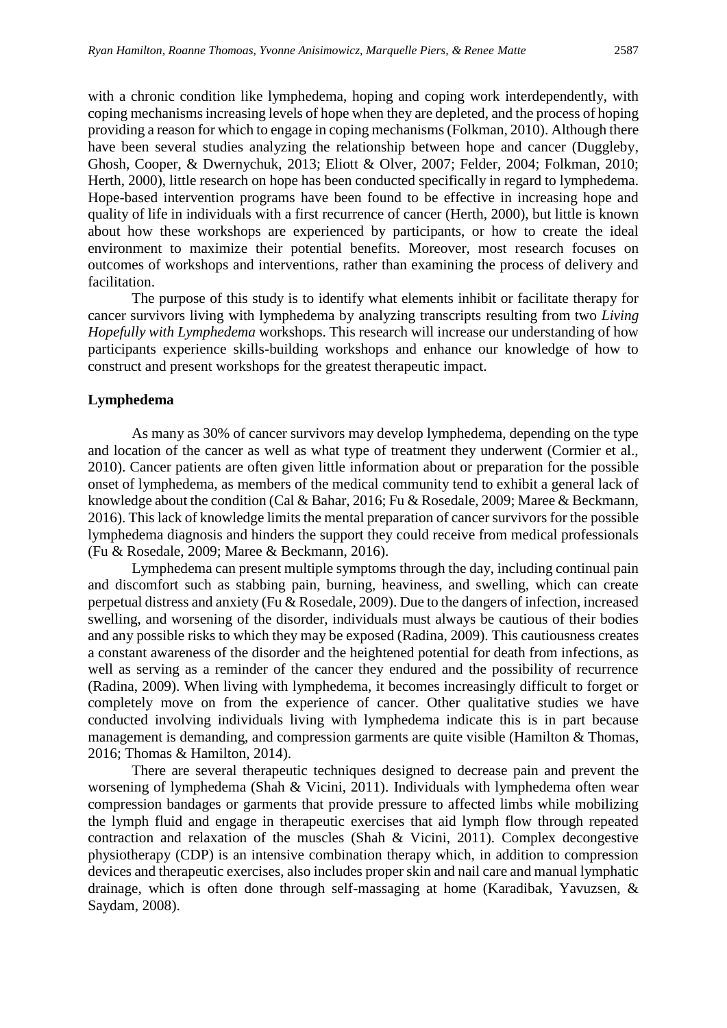with a chronic condition like lymphedema, hoping and coping work interdependently, with coping mechanisms increasing levels of hope when they are depleted, and the process of hoping providing a reason for which to engage in coping mechanisms (Folkman, 2010). Although there have been several studies analyzing the relationship between hope and cancer (Duggleby, Ghosh, Cooper, & Dwernychuk, 2013; Eliott & Olver, 2007; Felder, 2004; Folkman, 2010; Herth, 2000), little research on hope has been conducted specifically in regard to lymphedema. Hope-based intervention programs have been found to be effective in increasing hope and quality of life in individuals with a first recurrence of cancer (Herth, 2000), but little is known about how these workshops are experienced by participants, or how to create the ideal environment to maximize their potential benefits. Moreover, most research focuses on outcomes of workshops and interventions, rather than examining the process of delivery and facilitation.

The purpose of this study is to identify what elements inhibit or facilitate therapy for cancer survivors living with lymphedema by analyzing transcripts resulting from two *Living Hopefully with Lymphedema* workshops. This research will increase our understanding of how participants experience skills-building workshops and enhance our knowledge of how to construct and present workshops for the greatest therapeutic impact.

#### **Lymphedema**

As many as 30% of cancer survivors may develop lymphedema, depending on the type and location of the cancer as well as what type of treatment they underwent (Cormier et al., 2010). Cancer patients are often given little information about or preparation for the possible onset of lymphedema, as members of the medical community tend to exhibit a general lack of knowledge about the condition (Cal & Bahar, 2016; Fu & Rosedale, 2009; Maree & Beckmann, 2016). This lack of knowledge limits the mental preparation of cancer survivors for the possible lymphedema diagnosis and hinders the support they could receive from medical professionals (Fu & Rosedale, 2009; Maree & Beckmann, 2016).

Lymphedema can present multiple symptoms through the day, including continual pain and discomfort such as stabbing pain, burning, heaviness, and swelling, which can create perpetual distress and anxiety (Fu & Rosedale, 2009). Due to the dangers of infection, increased swelling, and worsening of the disorder, individuals must always be cautious of their bodies and any possible risks to which they may be exposed (Radina, 2009). This cautiousness creates a constant awareness of the disorder and the heightened potential for death from infections, as well as serving as a reminder of the cancer they endured and the possibility of recurrence (Radina, 2009). When living with lymphedema, it becomes increasingly difficult to forget or completely move on from the experience of cancer. Other qualitative studies we have conducted involving individuals living with lymphedema indicate this is in part because management is demanding, and compression garments are quite visible (Hamilton & Thomas, 2016; Thomas & Hamilton, 2014).

There are several therapeutic techniques designed to decrease pain and prevent the worsening of lymphedema (Shah & Vicini, 2011). Individuals with lymphedema often wear compression bandages or garments that provide pressure to affected limbs while mobilizing the lymph fluid and engage in therapeutic exercises that aid lymph flow through repeated contraction and relaxation of the muscles (Shah & Vicini, 2011). Complex decongestive physiotherapy (CDP) is an intensive combination therapy which, in addition to compression devices and therapeutic exercises, also includes proper skin and nail care and manual lymphatic drainage, which is often done through self-massaging at home (Karadibak, Yavuzsen, & Saydam, 2008).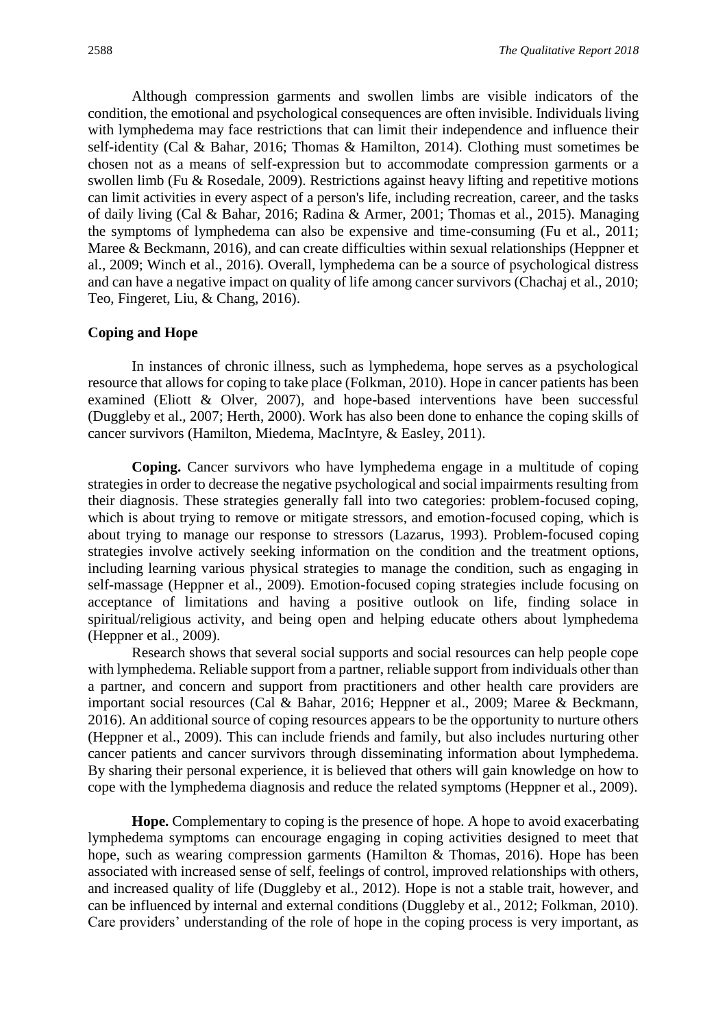Although compression garments and swollen limbs are visible indicators of the condition, the emotional and psychological consequences are often invisible. Individuals living with lymphedema may face restrictions that can limit their independence and influence their self-identity (Cal & Bahar, 2016; Thomas & Hamilton, 2014). Clothing must sometimes be chosen not as a means of self-expression but to accommodate compression garments or a swollen limb (Fu & Rosedale, 2009). Restrictions against heavy lifting and repetitive motions can limit activities in every aspect of a person's life, including recreation, career, and the tasks of daily living (Cal & Bahar, 2016; Radina & Armer, 2001; Thomas et al., 2015). Managing the symptoms of lymphedema can also be expensive and time-consuming (Fu et al., 2011; Maree & Beckmann, 2016), and can create difficulties within sexual relationships (Heppner et al., 2009; Winch et al., 2016). Overall, lymphedema can be a source of psychological distress and can have a negative impact on quality of life among cancer survivors (Chachaj et al., 2010; Teo, Fingeret, Liu, & Chang, 2016).

#### **Coping and Hope**

In instances of chronic illness, such as lymphedema, hope serves as a psychological resource that allows for coping to take place (Folkman, 2010). Hope in cancer patients has been examined (Eliott & Olver, 2007), and hope-based interventions have been successful (Duggleby et al., 2007; Herth, 2000). Work has also been done to enhance the coping skills of cancer survivors (Hamilton, Miedema, MacIntyre, & Easley, 2011).

**Coping.** Cancer survivors who have lymphedema engage in a multitude of coping strategies in order to decrease the negative psychological and social impairments resulting from their diagnosis. These strategies generally fall into two categories: problem-focused coping, which is about trying to remove or mitigate stressors, and emotion-focused coping, which is about trying to manage our response to stressors (Lazarus, 1993). Problem-focused coping strategies involve actively seeking information on the condition and the treatment options, including learning various physical strategies to manage the condition, such as engaging in self-massage (Heppner et al., 2009). Emotion-focused coping strategies include focusing on acceptance of limitations and having a positive outlook on life, finding solace in spiritual/religious activity, and being open and helping educate others about lymphedema (Heppner et al., 2009).

Research shows that several social supports and social resources can help people cope with lymphedema. Reliable support from a partner, reliable support from individuals other than a partner, and concern and support from practitioners and other health care providers are important social resources (Cal & Bahar, 2016; Heppner et al., 2009; Maree & Beckmann, 2016). An additional source of coping resources appears to be the opportunity to nurture others (Heppner et al., 2009). This can include friends and family, but also includes nurturing other cancer patients and cancer survivors through disseminating information about lymphedema. By sharing their personal experience, it is believed that others will gain knowledge on how to cope with the lymphedema diagnosis and reduce the related symptoms (Heppner et al., 2009).

**Hope.** Complementary to coping is the presence of hope. A hope to avoid exacerbating lymphedema symptoms can encourage engaging in coping activities designed to meet that hope, such as wearing compression garments (Hamilton & Thomas, 2016). Hope has been associated with increased sense of self, feelings of control, improved relationships with others, and increased quality of life (Duggleby et al., 2012). Hope is not a stable trait, however, and can be influenced by internal and external conditions (Duggleby et al., 2012; Folkman, 2010). Care providers' understanding of the role of hope in the coping process is very important, as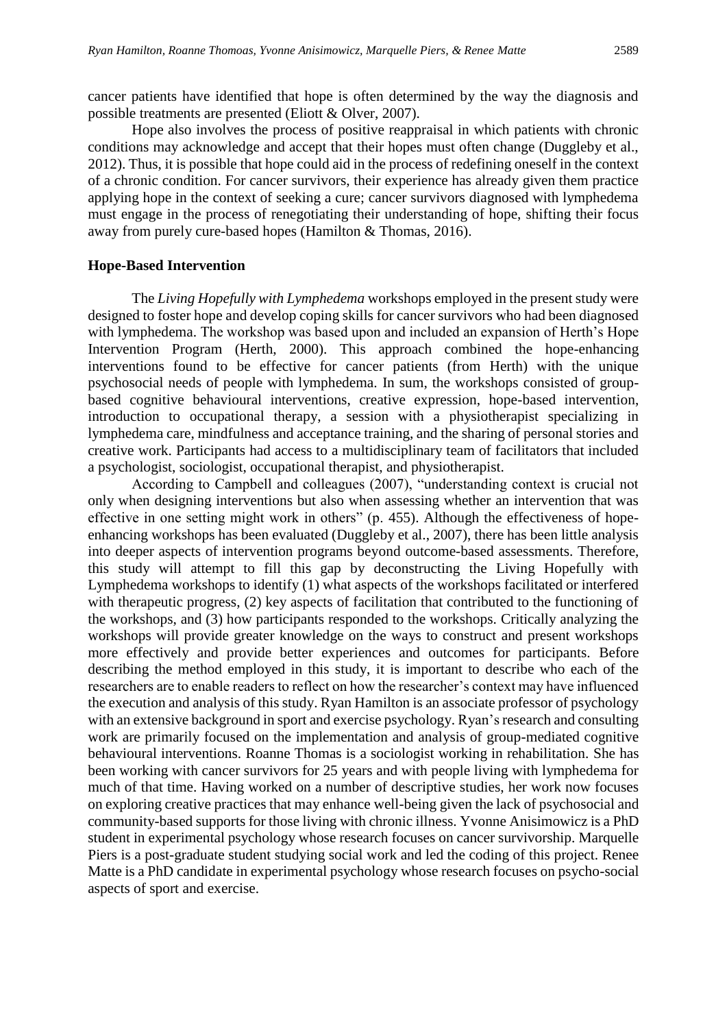cancer patients have identified that hope is often determined by the way the diagnosis and possible treatments are presented (Eliott & Olver, 2007).

Hope also involves the process of positive reappraisal in which patients with chronic conditions may acknowledge and accept that their hopes must often change (Duggleby et al., 2012). Thus, it is possible that hope could aid in the process of redefining oneself in the context of a chronic condition. For cancer survivors, their experience has already given them practice applying hope in the context of seeking a cure; cancer survivors diagnosed with lymphedema must engage in the process of renegotiating their understanding of hope, shifting their focus away from purely cure-based hopes (Hamilton & Thomas, 2016).

#### **Hope-Based Intervention**

The *Living Hopefully with Lymphedema* workshops employed in the present study were designed to foster hope and develop coping skills for cancer survivors who had been diagnosed with lymphedema. The workshop was based upon and included an expansion of Herth's Hope Intervention Program (Herth, 2000). This approach combined the hope-enhancing interventions found to be effective for cancer patients (from Herth) with the unique psychosocial needs of people with lymphedema. In sum, the workshops consisted of groupbased cognitive behavioural interventions, creative expression, hope-based intervention, introduction to occupational therapy, a session with a physiotherapist specializing in lymphedema care, mindfulness and acceptance training, and the sharing of personal stories and creative work. Participants had access to a multidisciplinary team of facilitators that included a psychologist, sociologist, occupational therapist, and physiotherapist.

According to Campbell and colleagues (2007), "understanding context is crucial not only when designing interventions but also when assessing whether an intervention that was effective in one setting might work in others" (p. 455). Although the effectiveness of hopeenhancing workshops has been evaluated (Duggleby et al., 2007), there has been little analysis into deeper aspects of intervention programs beyond outcome-based assessments. Therefore, this study will attempt to fill this gap by deconstructing the Living Hopefully with Lymphedema workshops to identify (1) what aspects of the workshops facilitated or interfered with therapeutic progress, (2) key aspects of facilitation that contributed to the functioning of the workshops, and (3) how participants responded to the workshops. Critically analyzing the workshops will provide greater knowledge on the ways to construct and present workshops more effectively and provide better experiences and outcomes for participants. Before describing the method employed in this study, it is important to describe who each of the researchers are to enable readers to reflect on how the researcher's context may have influenced the execution and analysis of this study. Ryan Hamilton is an associate professor of psychology with an extensive background in sport and exercise psychology. Ryan's research and consulting work are primarily focused on the implementation and analysis of group-mediated cognitive behavioural interventions. Roanne Thomas is a sociologist working in rehabilitation. She has been working with cancer survivors for 25 years and with people living with lymphedema for much of that time. Having worked on a number of descriptive studies, her work now focuses on exploring creative practices that may enhance well-being given the lack of psychosocial and community-based supports for those living with chronic illness. Yvonne Anisimowicz is a PhD student in experimental psychology whose research focuses on cancer survivorship. Marquelle Piers is a post-graduate student studying social work and led the coding of this project. Renee Matte is a PhD candidate in experimental psychology whose research focuses on psycho-social aspects of sport and exercise.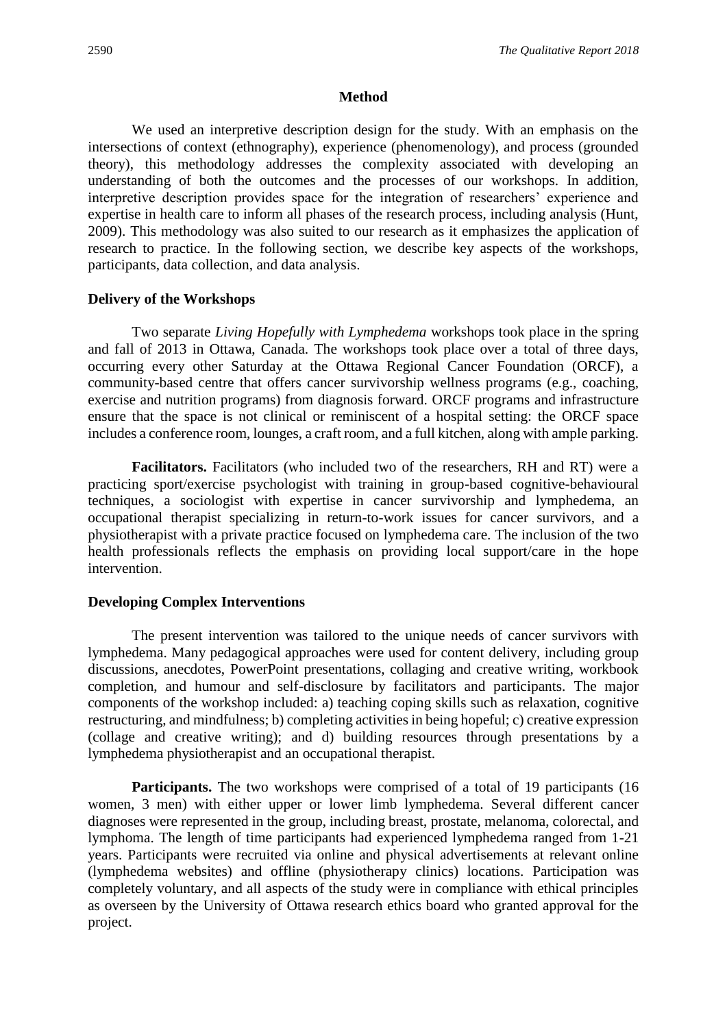#### **Method**

We used an interpretive description design for the study. With an emphasis on the intersections of context (ethnography), experience (phenomenology), and process (grounded theory), this methodology addresses the complexity associated with developing an understanding of both the outcomes and the processes of our workshops. In addition, interpretive description provides space for the integration of researchers' experience and expertise in health care to inform all phases of the research process, including analysis (Hunt, 2009). This methodology was also suited to our research as it emphasizes the application of research to practice. In the following section, we describe key aspects of the workshops, participants, data collection, and data analysis.

#### **Delivery of the Workshops**

Two separate *Living Hopefully with Lymphedema* workshops took place in the spring and fall of 2013 in Ottawa, Canada. The workshops took place over a total of three days, occurring every other Saturday at the Ottawa Regional Cancer Foundation (ORCF), a community-based centre that offers cancer survivorship wellness programs (e.g., coaching, exercise and nutrition programs) from diagnosis forward. ORCF programs and infrastructure ensure that the space is not clinical or reminiscent of a hospital setting: the ORCF space includes a conference room, lounges, a craft room, and a full kitchen, along with ample parking.

**Facilitators.** Facilitators (who included two of the researchers, RH and RT) were a practicing sport/exercise psychologist with training in group-based cognitive-behavioural techniques, a sociologist with expertise in cancer survivorship and lymphedema, an occupational therapist specializing in return-to-work issues for cancer survivors, and a physiotherapist with a private practice focused on lymphedema care. The inclusion of the two health professionals reflects the emphasis on providing local support/care in the hope intervention.

#### **Developing Complex Interventions**

The present intervention was tailored to the unique needs of cancer survivors with lymphedema. Many pedagogical approaches were used for content delivery, including group discussions, anecdotes, PowerPoint presentations, collaging and creative writing, workbook completion, and humour and self-disclosure by facilitators and participants. The major components of the workshop included: a) teaching coping skills such as relaxation, cognitive restructuring, and mindfulness; b) completing activities in being hopeful; c) creative expression (collage and creative writing); and d) building resources through presentations by a lymphedema physiotherapist and an occupational therapist.

**Participants.** The two workshops were comprised of a total of 19 participants (16 women, 3 men) with either upper or lower limb lymphedema. Several different cancer diagnoses were represented in the group, including breast, prostate, melanoma, colorectal, and lymphoma. The length of time participants had experienced lymphedema ranged from 1-21 years. Participants were recruited via online and physical advertisements at relevant online (lymphedema websites) and offline (physiotherapy clinics) locations. Participation was completely voluntary, and all aspects of the study were in compliance with ethical principles as overseen by the University of Ottawa research ethics board who granted approval for the project.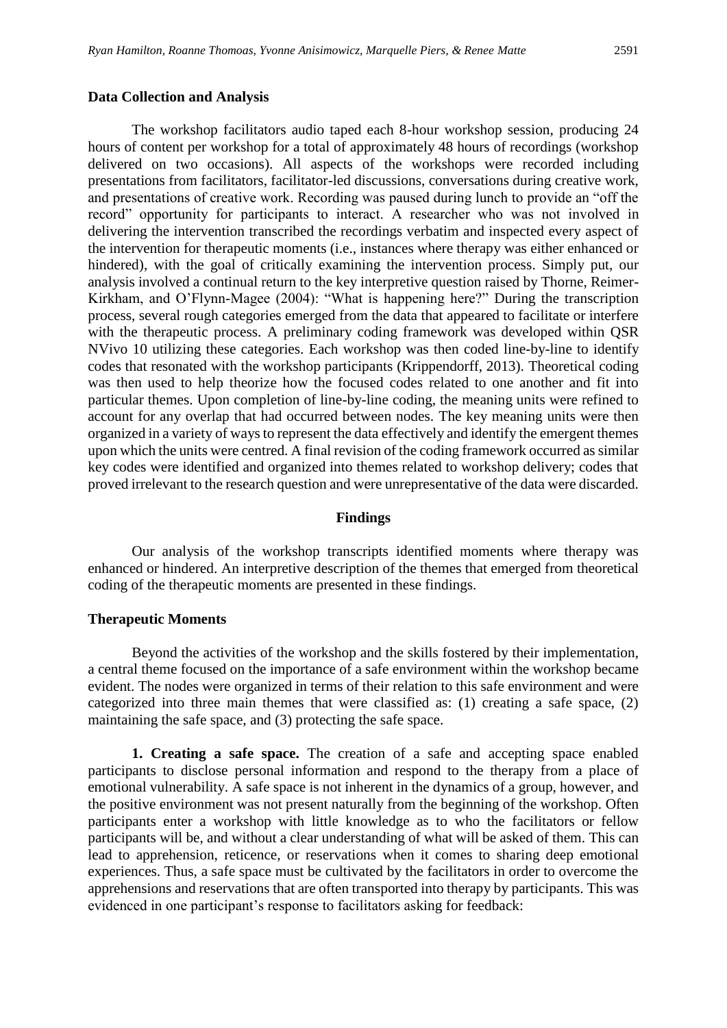#### **Data Collection and Analysis**

The workshop facilitators audio taped each 8-hour workshop session, producing 24 hours of content per workshop for a total of approximately 48 hours of recordings (workshop delivered on two occasions). All aspects of the workshops were recorded including presentations from facilitators, facilitator-led discussions, conversations during creative work, and presentations of creative work. Recording was paused during lunch to provide an "off the record" opportunity for participants to interact. A researcher who was not involved in delivering the intervention transcribed the recordings verbatim and inspected every aspect of the intervention for therapeutic moments (i.e., instances where therapy was either enhanced or hindered), with the goal of critically examining the intervention process. Simply put, our analysis involved a continual return to the key interpretive question raised by Thorne, Reimer-Kirkham, and O'Flynn-Magee (2004): "What is happening here?" During the transcription process, several rough categories emerged from the data that appeared to facilitate or interfere with the therapeutic process. A preliminary coding framework was developed within QSR NVivo 10 utilizing these categories. Each workshop was then coded line-by-line to identify codes that resonated with the workshop participants (Krippendorff, 2013). Theoretical coding was then used to help theorize how the focused codes related to one another and fit into particular themes. Upon completion of line-by-line coding, the meaning units were refined to account for any overlap that had occurred between nodes. The key meaning units were then organized in a variety of ways to represent the data effectively and identify the emergent themes upon which the units were centred. A final revision of the coding framework occurred as similar key codes were identified and organized into themes related to workshop delivery; codes that proved irrelevant to the research question and were unrepresentative of the data were discarded.

#### **Findings**

Our analysis of the workshop transcripts identified moments where therapy was enhanced or hindered. An interpretive description of the themes that emerged from theoretical coding of the therapeutic moments are presented in these findings.

#### **Therapeutic Moments**

Beyond the activities of the workshop and the skills fostered by their implementation, a central theme focused on the importance of a safe environment within the workshop became evident. The nodes were organized in terms of their relation to this safe environment and were categorized into three main themes that were classified as: (1) creating a safe space, (2) maintaining the safe space, and (3) protecting the safe space.

**1. Creating a safe space.** The creation of a safe and accepting space enabled participants to disclose personal information and respond to the therapy from a place of emotional vulnerability. A safe space is not inherent in the dynamics of a group, however, and the positive environment was not present naturally from the beginning of the workshop. Often participants enter a workshop with little knowledge as to who the facilitators or fellow participants will be, and without a clear understanding of what will be asked of them. This can lead to apprehension, reticence, or reservations when it comes to sharing deep emotional experiences. Thus, a safe space must be cultivated by the facilitators in order to overcome the apprehensions and reservations that are often transported into therapy by participants. This was evidenced in one participant's response to facilitators asking for feedback: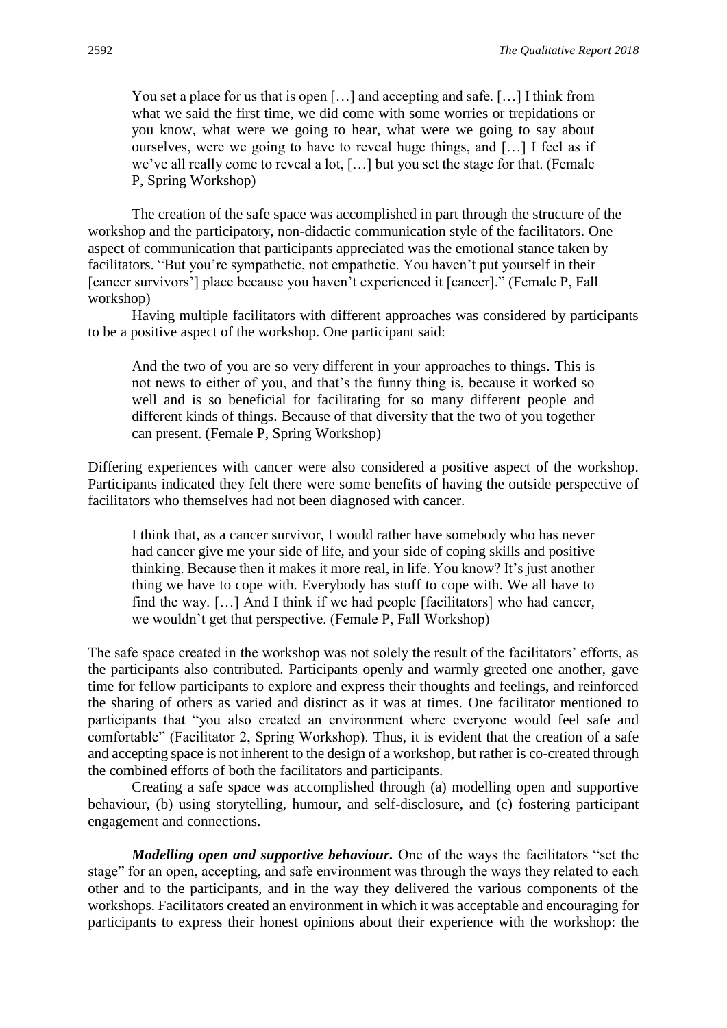You set a place for us that is open [...] and accepting and safe. [...] I think from what we said the first time, we did come with some worries or trepidations or you know, what were we going to hear, what were we going to say about ourselves, were we going to have to reveal huge things, and […] I feel as if we've all really come to reveal a lot, […] but you set the stage for that. (Female P, Spring Workshop)

The creation of the safe space was accomplished in part through the structure of the workshop and the participatory, non-didactic communication style of the facilitators. One aspect of communication that participants appreciated was the emotional stance taken by facilitators. "But you're sympathetic, not empathetic. You haven't put yourself in their [cancer survivors'] place because you haven't experienced it [cancer]." (Female P, Fall workshop)

Having multiple facilitators with different approaches was considered by participants to be a positive aspect of the workshop. One participant said:

And the two of you are so very different in your approaches to things. This is not news to either of you, and that's the funny thing is, because it worked so well and is so beneficial for facilitating for so many different people and different kinds of things. Because of that diversity that the two of you together can present. (Female P, Spring Workshop)

Differing experiences with cancer were also considered a positive aspect of the workshop. Participants indicated they felt there were some benefits of having the outside perspective of facilitators who themselves had not been diagnosed with cancer.

I think that, as a cancer survivor, I would rather have somebody who has never had cancer give me your side of life, and your side of coping skills and positive thinking. Because then it makes it more real, in life. You know? It's just another thing we have to cope with. Everybody has stuff to cope with. We all have to find the way. […] And I think if we had people [facilitators] who had cancer, we wouldn't get that perspective. (Female P, Fall Workshop)

The safe space created in the workshop was not solely the result of the facilitators' efforts, as the participants also contributed. Participants openly and warmly greeted one another, gave time for fellow participants to explore and express their thoughts and feelings, and reinforced the sharing of others as varied and distinct as it was at times. One facilitator mentioned to participants that "you also created an environment where everyone would feel safe and comfortable" (Facilitator 2, Spring Workshop). Thus, it is evident that the creation of a safe and accepting space is not inherent to the design of a workshop, but rather is co-created through the combined efforts of both the facilitators and participants.

Creating a safe space was accomplished through (a) modelling open and supportive behaviour, (b) using storytelling, humour, and self-disclosure, and (c) fostering participant engagement and connections.

*Modelling open and supportive behaviour.* One of the ways the facilitators "set the stage" for an open, accepting, and safe environment was through the ways they related to each other and to the participants, and in the way they delivered the various components of the workshops. Facilitators created an environment in which it was acceptable and encouraging for participants to express their honest opinions about their experience with the workshop: the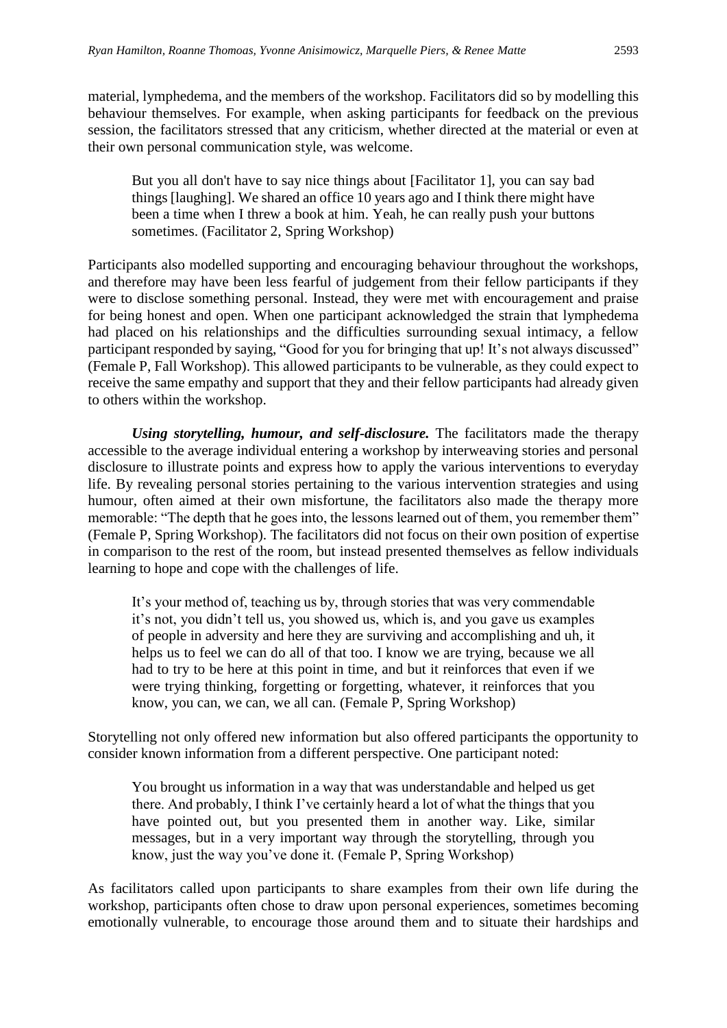material, lymphedema, and the members of the workshop. Facilitators did so by modelling this behaviour themselves. For example, when asking participants for feedback on the previous session, the facilitators stressed that any criticism, whether directed at the material or even at their own personal communication style, was welcome.

But you all don't have to say nice things about [Facilitator 1], you can say bad things [laughing]. We shared an office 10 years ago and I think there might have been a time when I threw a book at him. Yeah, he can really push your buttons sometimes. (Facilitator 2, Spring Workshop)

Participants also modelled supporting and encouraging behaviour throughout the workshops, and therefore may have been less fearful of judgement from their fellow participants if they were to disclose something personal. Instead, they were met with encouragement and praise for being honest and open. When one participant acknowledged the strain that lymphedema had placed on his relationships and the difficulties surrounding sexual intimacy, a fellow participant responded by saying, "Good for you for bringing that up! It's not always discussed" (Female P, Fall Workshop). This allowed participants to be vulnerable, as they could expect to receive the same empathy and support that they and their fellow participants had already given to others within the workshop.

*Using storytelling, humour, and self-disclosure.* The facilitators made the therapy accessible to the average individual entering a workshop by interweaving stories and personal disclosure to illustrate points and express how to apply the various interventions to everyday life. By revealing personal stories pertaining to the various intervention strategies and using humour, often aimed at their own misfortune, the facilitators also made the therapy more memorable: "The depth that he goes into, the lessons learned out of them, you remember them" (Female P, Spring Workshop). The facilitators did not focus on their own position of expertise in comparison to the rest of the room, but instead presented themselves as fellow individuals learning to hope and cope with the challenges of life.

It's your method of, teaching us by, through stories that was very commendable it's not, you didn't tell us, you showed us, which is, and you gave us examples of people in adversity and here they are surviving and accomplishing and uh, it helps us to feel we can do all of that too. I know we are trying, because we all had to try to be here at this point in time, and but it reinforces that even if we were trying thinking, forgetting or forgetting, whatever, it reinforces that you know, you can, we can, we all can. (Female P, Spring Workshop)

Storytelling not only offered new information but also offered participants the opportunity to consider known information from a different perspective. One participant noted:

You brought us information in a way that was understandable and helped us get there. And probably, I think I've certainly heard a lot of what the things that you have pointed out, but you presented them in another way. Like, similar messages, but in a very important way through the storytelling, through you know, just the way you've done it. (Female P, Spring Workshop)

As facilitators called upon participants to share examples from their own life during the workshop, participants often chose to draw upon personal experiences, sometimes becoming emotionally vulnerable, to encourage those around them and to situate their hardships and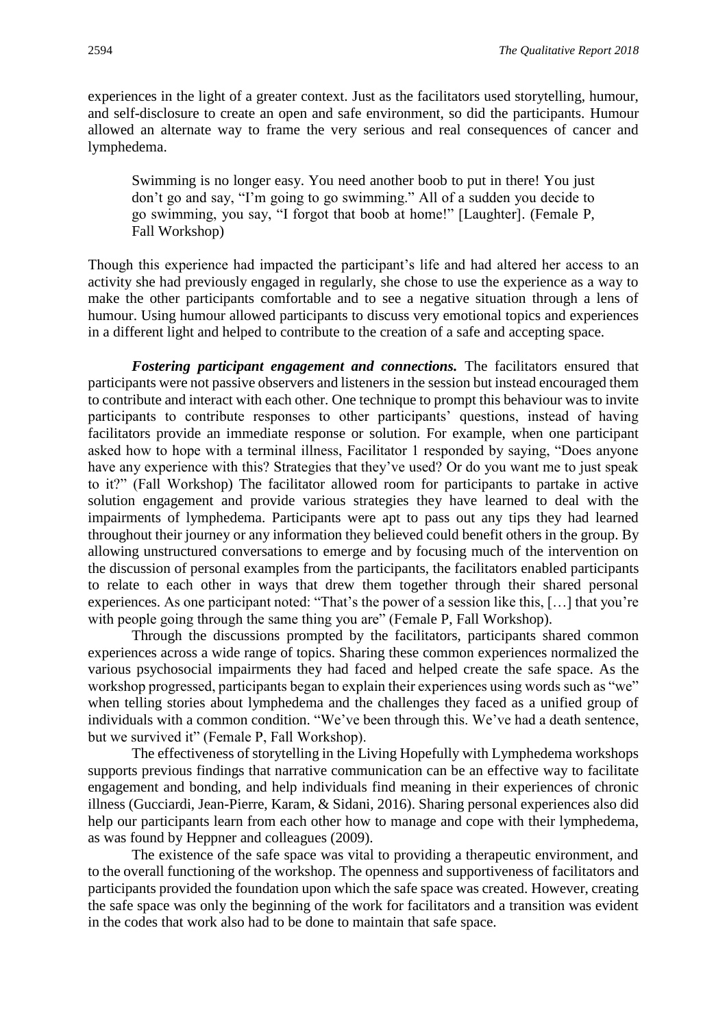experiences in the light of a greater context. Just as the facilitators used storytelling, humour, and self-disclosure to create an open and safe environment, so did the participants. Humour allowed an alternate way to frame the very serious and real consequences of cancer and lymphedema.

Swimming is no longer easy. You need another boob to put in there! You just don't go and say, "I'm going to go swimming." All of a sudden you decide to go swimming, you say, "I forgot that boob at home!" [Laughter]. (Female P, Fall Workshop)

Though this experience had impacted the participant's life and had altered her access to an activity she had previously engaged in regularly, she chose to use the experience as a way to make the other participants comfortable and to see a negative situation through a lens of humour. Using humour allowed participants to discuss very emotional topics and experiences in a different light and helped to contribute to the creation of a safe and accepting space.

*Fostering participant engagement and connections.* The facilitators ensured that participants were not passive observers and listeners in the session but instead encouraged them to contribute and interact with each other. One technique to prompt this behaviour was to invite participants to contribute responses to other participants' questions, instead of having facilitators provide an immediate response or solution. For example, when one participant asked how to hope with a terminal illness, Facilitator 1 responded by saying, "Does anyone have any experience with this? Strategies that they've used? Or do you want me to just speak to it?" (Fall Workshop) The facilitator allowed room for participants to partake in active solution engagement and provide various strategies they have learned to deal with the impairments of lymphedema. Participants were apt to pass out any tips they had learned throughout their journey or any information they believed could benefit others in the group. By allowing unstructured conversations to emerge and by focusing much of the intervention on the discussion of personal examples from the participants, the facilitators enabled participants to relate to each other in ways that drew them together through their shared personal experiences. As one participant noted: "That's the power of a session like this, […] that you're with people going through the same thing you are" (Female P, Fall Workshop).

Through the discussions prompted by the facilitators, participants shared common experiences across a wide range of topics. Sharing these common experiences normalized the various psychosocial impairments they had faced and helped create the safe space. As the workshop progressed, participants began to explain their experiences using words such as "we" when telling stories about lymphedema and the challenges they faced as a unified group of individuals with a common condition. "We've been through this. We've had a death sentence, but we survived it" (Female P, Fall Workshop).

The effectiveness of storytelling in the Living Hopefully with Lymphedema workshops supports previous findings that narrative communication can be an effective way to facilitate engagement and bonding, and help individuals find meaning in their experiences of chronic illness (Gucciardi, Jean-Pierre, Karam, & Sidani, 2016). Sharing personal experiences also did help our participants learn from each other how to manage and cope with their lymphedema, as was found by Heppner and colleagues (2009).

The existence of the safe space was vital to providing a therapeutic environment, and to the overall functioning of the workshop. The openness and supportiveness of facilitators and participants provided the foundation upon which the safe space was created. However, creating the safe space was only the beginning of the work for facilitators and a transition was evident in the codes that work also had to be done to maintain that safe space.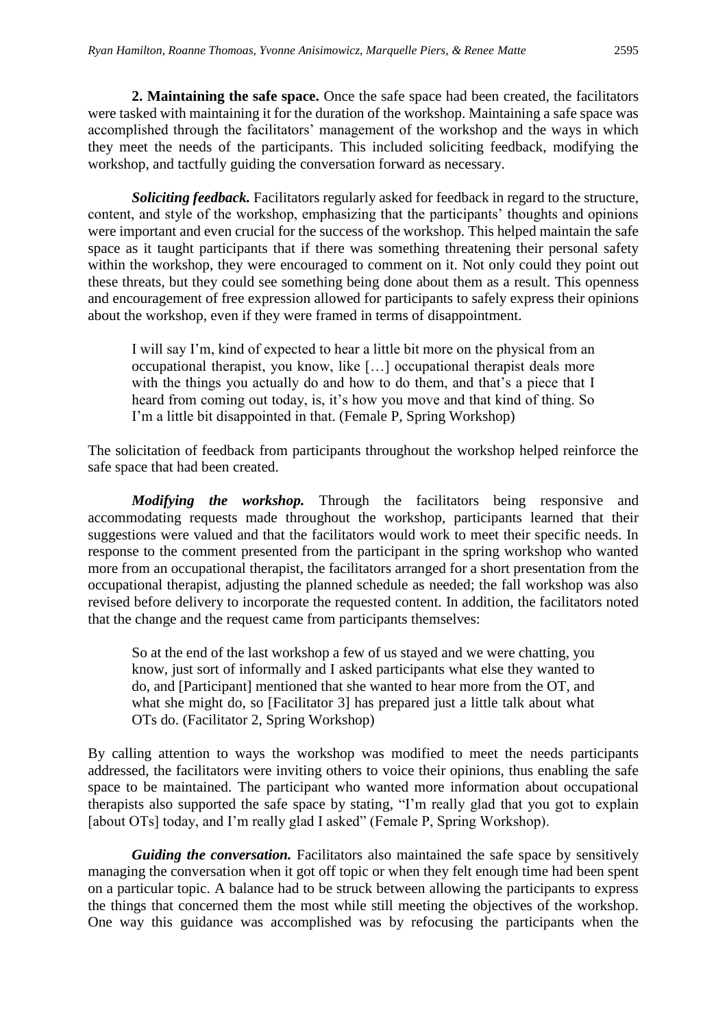**2. Maintaining the safe space.** Once the safe space had been created, the facilitators were tasked with maintaining it for the duration of the workshop. Maintaining a safe space was accomplished through the facilitators' management of the workshop and the ways in which they meet the needs of the participants. This included soliciting feedback, modifying the workshop, and tactfully guiding the conversation forward as necessary.

*Soliciting feedback.* Facilitators regularly asked for feedback in regard to the structure, content, and style of the workshop, emphasizing that the participants' thoughts and opinions were important and even crucial for the success of the workshop. This helped maintain the safe space as it taught participants that if there was something threatening their personal safety within the workshop, they were encouraged to comment on it. Not only could they point out these threats, but they could see something being done about them as a result. This openness and encouragement of free expression allowed for participants to safely express their opinions about the workshop, even if they were framed in terms of disappointment.

I will say I'm, kind of expected to hear a little bit more on the physical from an occupational therapist, you know, like […] occupational therapist deals more with the things you actually do and how to do them, and that's a piece that I heard from coming out today, is, it's how you move and that kind of thing. So I'm a little bit disappointed in that. (Female P, Spring Workshop)

The solicitation of feedback from participants throughout the workshop helped reinforce the safe space that had been created.

*Modifying the workshop.* Through the facilitators being responsive and accommodating requests made throughout the workshop, participants learned that their suggestions were valued and that the facilitators would work to meet their specific needs. In response to the comment presented from the participant in the spring workshop who wanted more from an occupational therapist, the facilitators arranged for a short presentation from the occupational therapist, adjusting the planned schedule as needed; the fall workshop was also revised before delivery to incorporate the requested content. In addition, the facilitators noted that the change and the request came from participants themselves:

So at the end of the last workshop a few of us stayed and we were chatting, you know, just sort of informally and I asked participants what else they wanted to do, and [Participant] mentioned that she wanted to hear more from the OT, and what she might do, so [Facilitator 3] has prepared just a little talk about what OTs do. (Facilitator 2, Spring Workshop)

By calling attention to ways the workshop was modified to meet the needs participants addressed, the facilitators were inviting others to voice their opinions, thus enabling the safe space to be maintained. The participant who wanted more information about occupational therapists also supported the safe space by stating, "I'm really glad that you got to explain [about OTs] today, and I'm really glad I asked" (Female P, Spring Workshop).

*Guiding the conversation.* Facilitators also maintained the safe space by sensitively managing the conversation when it got off topic or when they felt enough time had been spent on a particular topic. A balance had to be struck between allowing the participants to express the things that concerned them the most while still meeting the objectives of the workshop. One way this guidance was accomplished was by refocusing the participants when the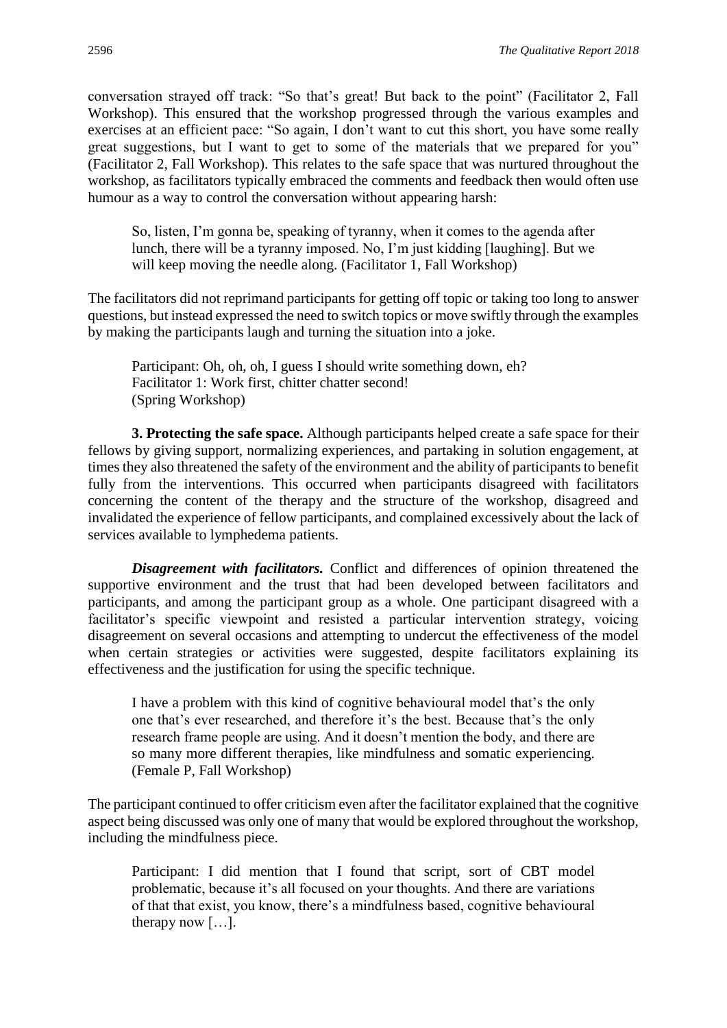conversation strayed off track: "So that's great! But back to the point" (Facilitator 2, Fall Workshop). This ensured that the workshop progressed through the various examples and exercises at an efficient pace: "So again, I don't want to cut this short, you have some really great suggestions, but I want to get to some of the materials that we prepared for you" (Facilitator 2, Fall Workshop). This relates to the safe space that was nurtured throughout the workshop, as facilitators typically embraced the comments and feedback then would often use humour as a way to control the conversation without appearing harsh:

So, listen, I'm gonna be, speaking of tyranny, when it comes to the agenda after lunch, there will be a tyranny imposed. No, I'm just kidding [laughing]. But we will keep moving the needle along. (Facilitator 1, Fall Workshop)

The facilitators did not reprimand participants for getting off topic or taking too long to answer questions, but instead expressed the need to switch topics or move swiftly through the examples by making the participants laugh and turning the situation into a joke.

Participant: Oh, oh, oh, I guess I should write something down, eh? Facilitator 1: Work first, chitter chatter second! (Spring Workshop)

**3. Protecting the safe space.** Although participants helped create a safe space for their fellows by giving support, normalizing experiences, and partaking in solution engagement, at times they also threatened the safety of the environment and the ability of participants to benefit fully from the interventions. This occurred when participants disagreed with facilitators concerning the content of the therapy and the structure of the workshop, disagreed and invalidated the experience of fellow participants, and complained excessively about the lack of services available to lymphedema patients.

*Disagreement with facilitators.* Conflict and differences of opinion threatened the supportive environment and the trust that had been developed between facilitators and participants, and among the participant group as a whole. One participant disagreed with a facilitator's specific viewpoint and resisted a particular intervention strategy, voicing disagreement on several occasions and attempting to undercut the effectiveness of the model when certain strategies or activities were suggested, despite facilitators explaining its effectiveness and the justification for using the specific technique.

I have a problem with this kind of cognitive behavioural model that's the only one that's ever researched, and therefore it's the best. Because that's the only research frame people are using. And it doesn't mention the body, and there are so many more different therapies, like mindfulness and somatic experiencing. (Female P, Fall Workshop)

The participant continued to offer criticism even after the facilitator explained that the cognitive aspect being discussed was only one of many that would be explored throughout the workshop, including the mindfulness piece.

Participant: I did mention that I found that script, sort of CBT model problematic, because it's all focused on your thoughts. And there are variations of that that exist, you know, there's a mindfulness based, cognitive behavioural therapy now […].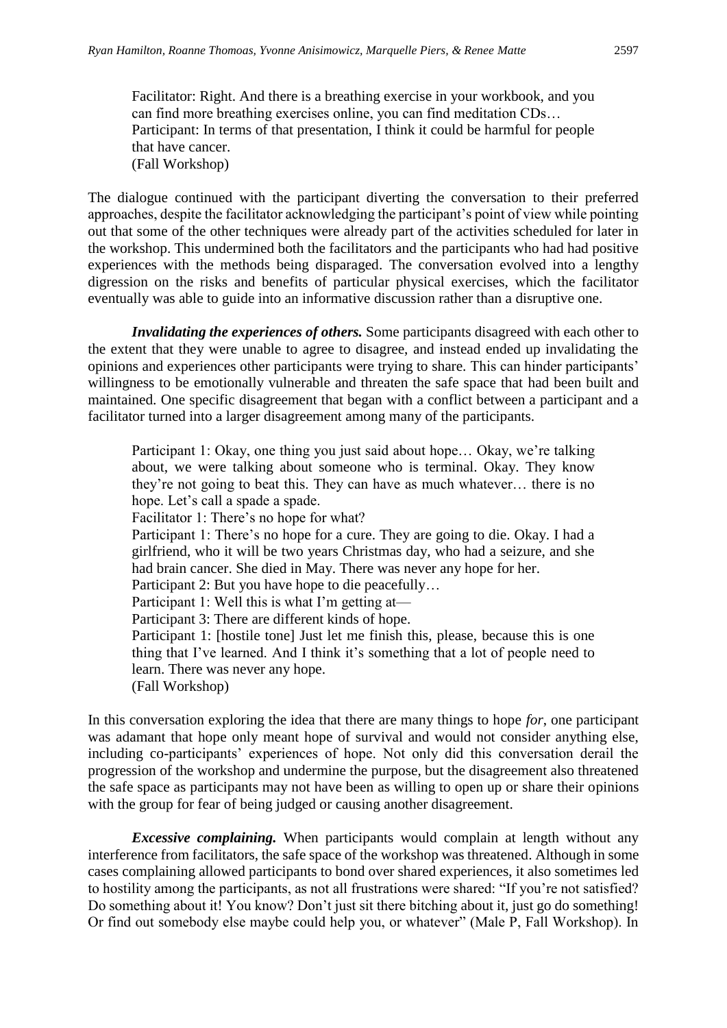Facilitator: Right. And there is a breathing exercise in your workbook, and you can find more breathing exercises online, you can find meditation CDs… Participant: In terms of that presentation, I think it could be harmful for people that have cancer. (Fall Workshop)

The dialogue continued with the participant diverting the conversation to their preferred approaches, despite the facilitator acknowledging the participant's point of view while pointing out that some of the other techniques were already part of the activities scheduled for later in the workshop. This undermined both the facilitators and the participants who had had positive experiences with the methods being disparaged. The conversation evolved into a lengthy digression on the risks and benefits of particular physical exercises, which the facilitator eventually was able to guide into an informative discussion rather than a disruptive one.

*Invalidating the experiences of others.* Some participants disagreed with each other to the extent that they were unable to agree to disagree, and instead ended up invalidating the opinions and experiences other participants were trying to share. This can hinder participants' willingness to be emotionally vulnerable and threaten the safe space that had been built and maintained. One specific disagreement that began with a conflict between a participant and a facilitator turned into a larger disagreement among many of the participants.

Participant 1: Okay, one thing you just said about hope… Okay, we're talking about, we were talking about someone who is terminal. Okay. They know they're not going to beat this. They can have as much whatever… there is no hope. Let's call a spade a spade. Facilitator 1: There's no hope for what? Participant 1: There's no hope for a cure. They are going to die. Okay. I had a girlfriend, who it will be two years Christmas day, who had a seizure, and she had brain cancer. She died in May. There was never any hope for her. Participant 2: But you have hope to die peacefully… Participant 1: Well this is what I'm getting at— Participant 3: There are different kinds of hope. Participant 1: [hostile tone] Just let me finish this, please, because this is one thing that I've learned. And I think it's something that a lot of people need to learn. There was never any hope. (Fall Workshop)

In this conversation exploring the idea that there are many things to hope *for*, one participant was adamant that hope only meant hope of survival and would not consider anything else, including co-participants' experiences of hope. Not only did this conversation derail the progression of the workshop and undermine the purpose, but the disagreement also threatened the safe space as participants may not have been as willing to open up or share their opinions with the group for fear of being judged or causing another disagreement.

*Excessive complaining.* When participants would complain at length without any interference from facilitators, the safe space of the workshop was threatened. Although in some cases complaining allowed participants to bond over shared experiences, it also sometimes led to hostility among the participants, as not all frustrations were shared: "If you're not satisfied? Do something about it! You know? Don't just sit there bitching about it, just go do something! Or find out somebody else maybe could help you, or whatever" (Male P, Fall Workshop). In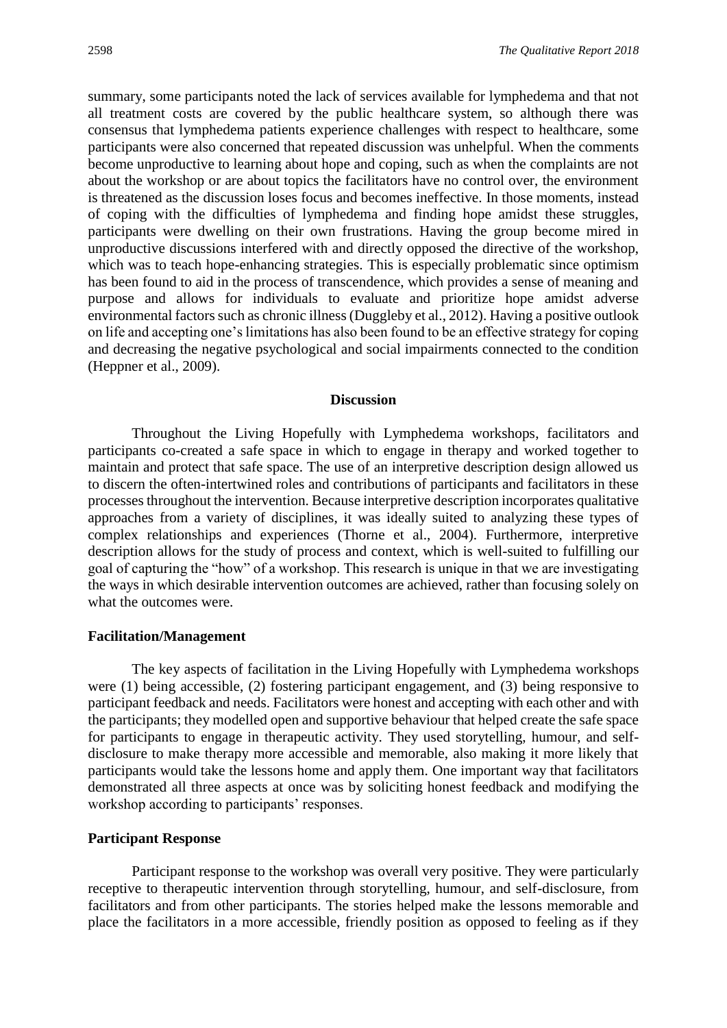summary, some participants noted the lack of services available for lymphedema and that not all treatment costs are covered by the public healthcare system, so although there was consensus that lymphedema patients experience challenges with respect to healthcare, some participants were also concerned that repeated discussion was unhelpful. When the comments become unproductive to learning about hope and coping, such as when the complaints are not about the workshop or are about topics the facilitators have no control over, the environment is threatened as the discussion loses focus and becomes ineffective. In those moments, instead of coping with the difficulties of lymphedema and finding hope amidst these struggles, participants were dwelling on their own frustrations. Having the group become mired in unproductive discussions interfered with and directly opposed the directive of the workshop, which was to teach hope-enhancing strategies. This is especially problematic since optimism has been found to aid in the process of transcendence, which provides a sense of meaning and purpose and allows for individuals to evaluate and prioritize hope amidst adverse environmental factors such as chronic illness (Duggleby et al., 2012). Having a positive outlook on life and accepting one's limitations has also been found to be an effective strategy for coping and decreasing the negative psychological and social impairments connected to the condition (Heppner et al., 2009).

#### **Discussion**

Throughout the Living Hopefully with Lymphedema workshops, facilitators and participants co-created a safe space in which to engage in therapy and worked together to maintain and protect that safe space. The use of an interpretive description design allowed us to discern the often-intertwined roles and contributions of participants and facilitators in these processes throughout the intervention. Because interpretive description incorporates qualitative approaches from a variety of disciplines, it was ideally suited to analyzing these types of complex relationships and experiences (Thorne et al., 2004). Furthermore, interpretive description allows for the study of process and context, which is well-suited to fulfilling our goal of capturing the "how" of a workshop. This research is unique in that we are investigating the ways in which desirable intervention outcomes are achieved, rather than focusing solely on what the outcomes were.

#### **Facilitation/Management**

The key aspects of facilitation in the Living Hopefully with Lymphedema workshops were (1) being accessible, (2) fostering participant engagement, and (3) being responsive to participant feedback and needs. Facilitators were honest and accepting with each other and with the participants; they modelled open and supportive behaviour that helped create the safe space for participants to engage in therapeutic activity. They used storytelling, humour, and selfdisclosure to make therapy more accessible and memorable, also making it more likely that participants would take the lessons home and apply them. One important way that facilitators demonstrated all three aspects at once was by soliciting honest feedback and modifying the workshop according to participants' responses.

#### **Participant Response**

Participant response to the workshop was overall very positive. They were particularly receptive to therapeutic intervention through storytelling, humour, and self-disclosure, from facilitators and from other participants. The stories helped make the lessons memorable and place the facilitators in a more accessible, friendly position as opposed to feeling as if they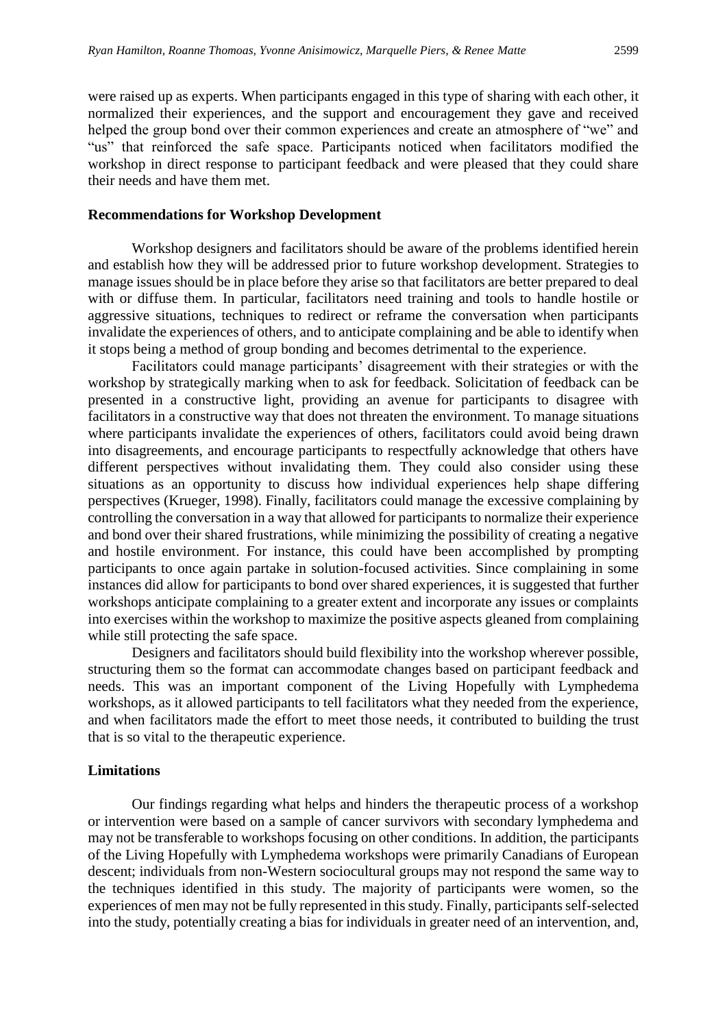were raised up as experts. When participants engaged in this type of sharing with each other, it normalized their experiences, and the support and encouragement they gave and received helped the group bond over their common experiences and create an atmosphere of "we" and "us" that reinforced the safe space. Participants noticed when facilitators modified the workshop in direct response to participant feedback and were pleased that they could share their needs and have them met.

#### **Recommendations for Workshop Development**

Workshop designers and facilitators should be aware of the problems identified herein and establish how they will be addressed prior to future workshop development. Strategies to manage issues should be in place before they arise so that facilitators are better prepared to deal with or diffuse them. In particular, facilitators need training and tools to handle hostile or aggressive situations, techniques to redirect or reframe the conversation when participants invalidate the experiences of others, and to anticipate complaining and be able to identify when it stops being a method of group bonding and becomes detrimental to the experience.

Facilitators could manage participants' disagreement with their strategies or with the workshop by strategically marking when to ask for feedback. Solicitation of feedback can be presented in a constructive light, providing an avenue for participants to disagree with facilitators in a constructive way that does not threaten the environment. To manage situations where participants invalidate the experiences of others, facilitators could avoid being drawn into disagreements, and encourage participants to respectfully acknowledge that others have different perspectives without invalidating them. They could also consider using these situations as an opportunity to discuss how individual experiences help shape differing perspectives (Krueger, 1998). Finally, facilitators could manage the excessive complaining by controlling the conversation in a way that allowed for participants to normalize their experience and bond over their shared frustrations, while minimizing the possibility of creating a negative and hostile environment. For instance, this could have been accomplished by prompting participants to once again partake in solution-focused activities. Since complaining in some instances did allow for participants to bond over shared experiences, it is suggested that further workshops anticipate complaining to a greater extent and incorporate any issues or complaints into exercises within the workshop to maximize the positive aspects gleaned from complaining while still protecting the safe space.

Designers and facilitators should build flexibility into the workshop wherever possible, structuring them so the format can accommodate changes based on participant feedback and needs. This was an important component of the Living Hopefully with Lymphedema workshops, as it allowed participants to tell facilitators what they needed from the experience, and when facilitators made the effort to meet those needs, it contributed to building the trust that is so vital to the therapeutic experience.

#### **Limitations**

Our findings regarding what helps and hinders the therapeutic process of a workshop or intervention were based on a sample of cancer survivors with secondary lymphedema and may not be transferable to workshops focusing on other conditions. In addition, the participants of the Living Hopefully with Lymphedema workshops were primarily Canadians of European descent; individuals from non-Western sociocultural groups may not respond the same way to the techniques identified in this study. The majority of participants were women, so the experiences of men may not be fully represented in this study. Finally, participants self-selected into the study, potentially creating a bias for individuals in greater need of an intervention, and,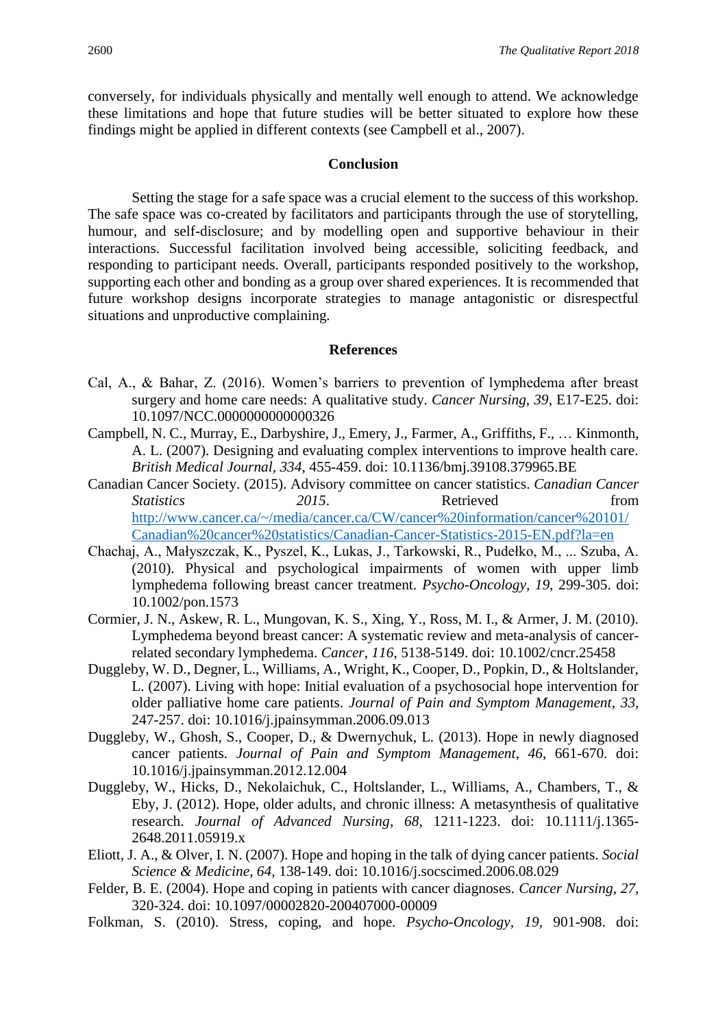conversely, for individuals physically and mentally well enough to attend. We acknowledge these limitations and hope that future studies will be better situated to explore how these findings might be applied in different contexts (see Campbell et al., 2007).

#### **Conclusion**

Setting the stage for a safe space was a crucial element to the success of this workshop. The safe space was co-created by facilitators and participants through the use of storytelling, humour, and self-disclosure; and by modelling open and supportive behaviour in their interactions. Successful facilitation involved being accessible, soliciting feedback, and responding to participant needs. Overall, participants responded positively to the workshop, supporting each other and bonding as a group over shared experiences. It is recommended that future workshop designs incorporate strategies to manage antagonistic or disrespectful situations and unproductive complaining.

#### **References**

- Cal, A., & Bahar, Z. (2016). Women's barriers to prevention of lymphedema after breast surgery and home care needs: A qualitative study. *Cancer Nursing, 39*, E17-E25. doi: 10.1097/NCC.0000000000000326
- Campbell, N. C., Murray, E., Darbyshire, J., Emery, J., Farmer, A., Griffiths, F., … Kinmonth, A. L. (2007). Designing and evaluating complex interventions to improve health care. *British Medical Journal, 334*, 455-459. doi: 10.1136/bmj.39108.379965.BE
- Canadian Cancer Society. (2015). Advisory committee on cancer statistics. *Canadian Cancer Statistics* 2015. Retrieved from http://www.cancer.ca/~/media/cancer.ca/CW/cancer%20information/cancer%20101/ Canadian%20cancer%20statistics/Canadian-Cancer-Statistics-2015-EN.pdf?la=en
- Chachaj, A., Małyszczak, K., Pyszel, K., Lukas, J., Tarkowski, R., Pudełko, M., ... Szuba, A. (2010). Physical and psychological impairments of women with upper limb lymphedema following breast cancer treatment. *Psycho-Oncology, 19,* 299-305. doi: 10.1002/pon.1573
- Cormier, J. N., Askew, R. L., Mungovan, K. S., Xing, Y., Ross, M. I., & Armer, J. M. (2010). Lymphedema beyond breast cancer: A systematic review and meta-analysis of cancerrelated secondary lymphedema. *Cancer*, *116*, 5138-5149. doi: 10.1002/cncr.25458
- Duggleby, W. D., Degner, L., Williams, A., Wright, K., Cooper, D., Popkin, D., & Holtslander, L. (2007). Living with hope: Initial evaluation of a psychosocial hope intervention for older palliative home care patients. *Journal of Pain and Symptom Management*, *33*, 247-257. doi: 10.1016/j.jpainsymman.2006.09.013
- Duggleby, W., Ghosh, S., Cooper, D., & Dwernychuk, L. (2013). Hope in newly diagnosed cancer patients. *Journal of Pain and Symptom Management*, *46*, 661-670. doi: 10.1016/j.jpainsymman.2012.12.004
- Duggleby, W., Hicks, D., Nekolaichuk, C., Holtslander, L., Williams, A., Chambers, T., & Eby, J. (2012). Hope, older adults, and chronic illness: A metasynthesis of qualitative research. *Journal of Advanced Nursing*, *68*, 1211-1223. doi: 10.1111/j.1365- 2648.2011.05919.x
- Eliott, J. A., & Olver, I. N. (2007). Hope and hoping in the talk of dying cancer patients. *Social Science & Medicine, 64,* 138-149. doi: 10.1016/j.socscimed.2006.08.029
- Felder, B. E. (2004). Hope and coping in patients with cancer diagnoses. *Cancer Nursing*, *27*, 320-324. doi: 10.1097/00002820-200407000-00009
- Folkman, S. (2010). Stress, coping, and hope. *Psycho-Oncology, 19,* 901-908. doi: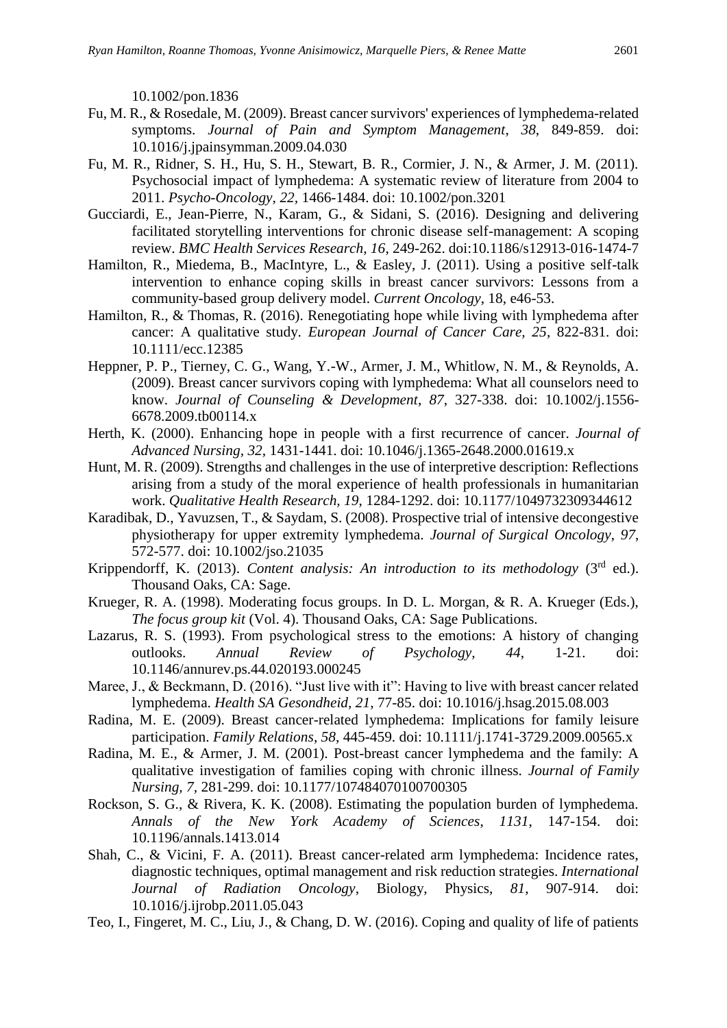10.1002/pon.1836

- Fu, M. R., & Rosedale, M. (2009). Breast cancer survivors' experiences of lymphedema-related symptoms. *Journal of Pain and Symptom Management*, *38*, 849-859. doi: 10.1016/j.jpainsymman.2009.04.030
- Fu, M. R., Ridner, S. H., Hu, S. H., Stewart, B. R., Cormier, J. N., & Armer, J. M. (2011). Psychosocial impact of lymphedema: A systematic review of literature from 2004 to 2011. *Psycho-Oncology, 22,* 1466-1484. doi: 10.1002/pon.3201
- Gucciardi, E., Jean-Pierre, N., Karam, G., & Sidani, S. (2016). Designing and delivering facilitated storytelling interventions for chronic disease self-management: A scoping review. *BMC Health Services Research, 16*, 249-262. doi:10.1186/s12913-016-1474-7
- Hamilton, R., Miedema, B., MacIntyre, L., & Easley, J. (2011). Using a positive self-talk intervention to enhance coping skills in breast cancer survivors: Lessons from a community-based group delivery model. *Current Oncology*, 18, e46-53.
- Hamilton, R., & Thomas, R. (2016). Renegotiating hope while living with lymphedema after cancer: A qualitative study. *European Journal of Cancer Care, 25*, 822-831. doi: 10.1111/ecc.12385
- Heppner, P. P., Tierney, C. G., Wang, Y.-W., Armer, J. M., Whitlow, N. M., & Reynolds, A. (2009). Breast cancer survivors coping with lymphedema: What all counselors need to know. *Journal of Counseling & Development*, *87*, 327-338. doi: 10.1002/j.1556- 6678.2009.tb00114.x
- Herth, K. (2000). Enhancing hope in people with a first recurrence of cancer. *Journal of Advanced Nursing, 32*, 1431-1441. doi: 10.1046/j.1365-2648.2000.01619.x
- Hunt, M. R. (2009). Strengths and challenges in the use of interpretive description: Reflections arising from a study of the moral experience of health professionals in humanitarian work. *Qualitative Health Research, 19*, 1284-1292. doi: 10.1177/1049732309344612
- Karadibak, D., Yavuzsen, T., & Saydam, S. (2008). Prospective trial of intensive decongestive physiotherapy for upper extremity lymphedema. *Journal of Surgical Oncology*, *97*, 572-577. doi: 10.1002/jso.21035
- Krippendorff, K. (2013). *Content analysis: An introduction to its methodology* (3rd ed.). Thousand Oaks, CA: Sage.
- Krueger, R. A. (1998). Moderating focus groups. In D. L. Morgan, & R. A. Krueger (Eds.), *The focus group kit* (Vol. 4). Thousand Oaks, CA: Sage Publications.
- Lazarus, R. S. (1993). From psychological stress to the emotions: A history of changing outlooks. *Annual Review of Psychology, 44*, 1-21. doi: 10.1146/annurev.ps.44.020193.000245
- Maree, J., & Beckmann, D. (2016). "Just live with it": Having to live with breast cancer related lymphedema. *Health SA Gesondheid, 21*, 77-85. doi: 10.1016/j.hsag.2015.08.003
- Radina, M. E. (2009). Breast cancer-related lymphedema: Implications for family leisure participation. *Family Relations*, *58*, 445-459. doi: 10.1111/j.1741-3729.2009.00565.x
- Radina, M. E., & Armer, J. M. (2001). Post-breast cancer lymphedema and the family: A qualitative investigation of families coping with chronic illness. *Journal of Family Nursing, 7,* 281-299. doi: 10.1177/107484070100700305
- Rockson, S. G., & Rivera, K. K. (2008). Estimating the population burden of lymphedema. *Annals of the New York Academy of Sciences*, *1131*, 147-154. doi: 10.1196/annals.1413.014
- Shah, C., & Vicini, F. A. (2011). Breast cancer-related arm lymphedema: Incidence rates, diagnostic techniques, optimal management and risk reduction strategies. *International Journal of Radiation Oncology*, Biology, Physics, *81*, 907-914. doi: 10.1016/j.ijrobp.2011.05.043
- Teo, I., Fingeret, M. C., Liu, J., & Chang, D. W. (2016). Coping and quality of life of patients